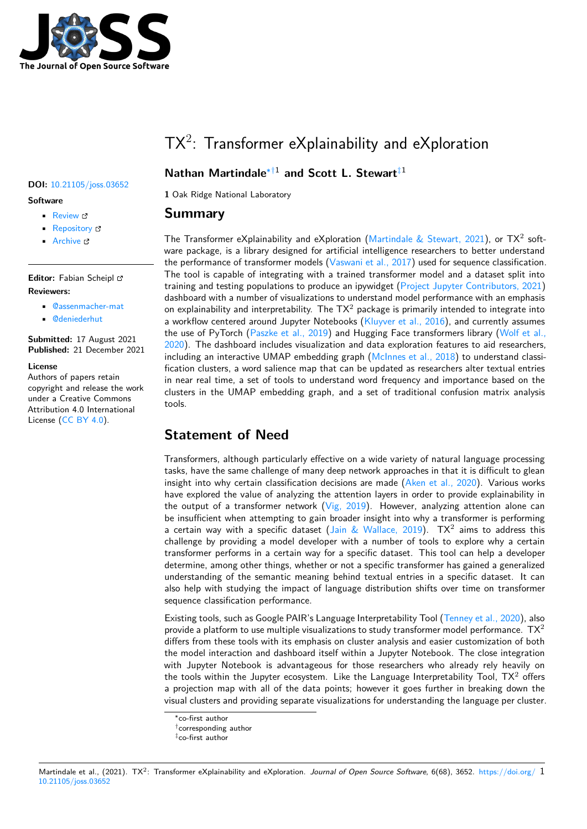

# $TX^2$ : Transformer eXplainability and eXploration

### **Nathan Martindale**∗†1 **and Scott L. Stewart**‡1

**1** Oak Ridge National Laboratory

### **Summary**

The Transformer eXplainability and eXploration (Martindale & Stewart, 2021), or TX<sup>2</sup> software package, is a library designed for artificial intelligence researchers to better understand the performance of transformer models (Vaswani et al., 2017) used for sequence classification. The tool is capable of integrating with a trained transformer model and a dataset split into training and testing populations to produce an ipy[widget \(Project Jupyter Cont](#page-4-0)ributors, 2021) dashboard with a number of visualizations to understand model performance with an emphasis on explainability and interpretability. The  $TX^2$  [package is pri](#page-4-1)marily intended to integrate into a workflow centered around Jupyter Notebooks  $(K\text{luyver et al., } 2016)$ , and currently assumes the use of PyTorch (Paszke et al., 2019) and Hugging F[ace transformers library \(Wolf et al.](#page-4-2), 2020). The dashboard includes visualization and data exploration features to aid researchers, including an interactive UMAP embedding graph (McInnes et al., 2018) to understand classification clusters, a word salience map that can b[e updated as researc](#page-4-3)hers alter textual entries in near real time, a [set of tools to unde](#page-4-4)rstand word frequency and importance b[ased on the](#page-5-0) [cluste](#page-5-0)rs in the UMAP embedding graph, and a set of traditional confusion matrix analysis tools.

# **Statement of Need**

Transformers, although particularly effective on a wide variety of natural language processing tasks, have the same challenge of many deep network approaches in that it is difficult to glean insight into why certain classification decisions are made (Aken et al., 2020). Various works have explored the value of analyzing the attention layers in order to provide explainability in the output of a transformer network  $(Vig, 2019)$ . However, analyzing attention alone can be insufficient when attempting to gain broader insight into why a transformer is performing a certain way with a specific dataset (Jain & Wallace, 2019).  $TX^2$  aims to address this challenge by providing a model developer with a number of tools to explore why a certain transformer performs in a certain way [for a speci](#page-5-1)fic dataset. This tool can help a developer determine, among other things, whether or not a specific transformer has gained a generalized understanding of the semantic meaning [behind textual entries](#page-4-6) in a specific dataset. It can also help with studying the impact of language distribution shifts over time on transformer sequence classification performance.

Existing tools, such as Google PAIR's Language Interpretability Tool (Tenney et al., 2020), also provide a platform to use multiple visualizations to study transformer model performance.  $TX^2$ differs from these tools with its emphasis on cluster analysis and easier customization of both the model interaction and dashboard itself within a Jupyter Notebook. The close integration with Jupyter Notebook is advantageous for those researchers wh[o already rely heav](#page-4-7)ily on the tools within the Jupyter ecosystem. Like the Language Interpretability Tool,  $TX^2$  offers a projection map with all of the data points; however it goes further in breaking down the visual clusters and providing separate visualizations for understanding the language per cluster.

#### Martindale et al., (2021). TX<sup>2</sup>: Transformer eXplainability and eXploration. *Journal of Open Source Software*, 6(68), 3652. https://doi.org/ 1 10.21105/joss.03652

#### **DOI:** 10.21105/joss.03652

#### **Software**

- Review C
- [Repository](https://doi.org/10.21105/joss.03652) &
- Archive

**Editor:** [Fabian Sc](https://github.com/ORNL/tx2)heipl **Revie[wers:](https://doi.org/10.5281/zenodo.5796089)**

- @assenmacher-mat
- @deniederhut

#### **Submitted:** 17 August 2021 **Published:** [21 December](https://github.com/assenmacher-mat) 2021

#### **License**

Autho[rs of papers re](https://github.com/deniederhut)tain copyright and release the work under a Creative Commons Attribution 4.0 International License (CC BY 4.0).

<sup>∗</sup>co-first author

<sup>†</sup>corresponding author

<sup>‡</sup>co-first author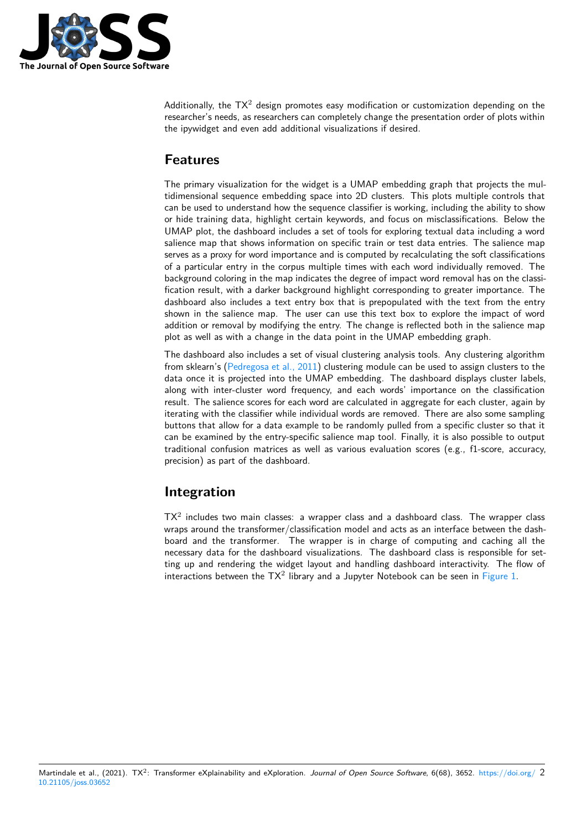

Additionally, the TX<sup>2</sup> design promotes easy modification or customization depending on the researcher's needs, as researchers can completely change the presentation order of plots within the ipywidget and even add additional visualizations if desired.

### **Features**

The primary visualization for the widget is a UMAP embedding graph that projects the multidimensional sequence embedding space into 2D clusters. This plots multiple controls that can be used to understand how the sequence classifier is working, including the ability to show or hide training data, highlight certain keywords, and focus on misclassifications. Below the UMAP plot, the dashboard includes a set of tools for exploring textual data including a word salience map that shows information on specific train or test data entries. The salience map serves as a proxy for word importance and is computed by recalculating the soft classifications of a particular entry in the corpus multiple times with each word individually removed. The background coloring in the map indicates the degree of impact word removal has on the classification result, with a darker background highlight corresponding to greater importance. The dashboard also includes a text entry box that is prepopulated with the text from the entry shown in the salience map. The user can use this text box to explore the impact of word addition or removal by modifying the entry. The change is reflected both in the salience map plot as well as with a change in the data point in the UMAP embedding graph.

The dashboard also includes a set of visual clustering analysis tools. Any clustering algorithm from sklearn's (Pedregosa et al., 2011) clustering module can be used to assign clusters to the data once it is projected into the UMAP embedding. The dashboard displays cluster labels, along with inter-cluster word frequency, and each words' importance on the classification result. The salience scores for each word are calculated in aggregate for each cluster, again by iterating with t[he classifier while indiv](#page-4-8)idual words are removed. There are also some sampling buttons that allow for a data example to be randomly pulled from a specific cluster so that it can be examined by the entry-specific salience map tool. Finally, it is also possible to output traditional confusion matrices as well as various evaluation scores (e.g., f1-score, accuracy, precision) as part of the dashboard.

### **Integration**

 $TX^2$  includes two main classes: a wrapper class and a dashboard class. The wrapper class wraps around the transformer/classification model and acts as an interface between the dashboard and the transformer. The wrapper is in charge of computing and caching all the necessary data for the dashboard visualizations. The dashboard class is responsible for setting up and rendering the widget layout and handling dashboard interactivity. The flow of interactions between the  $TX^2$  library and a Jupyter Notebook can be seen in Figure 1.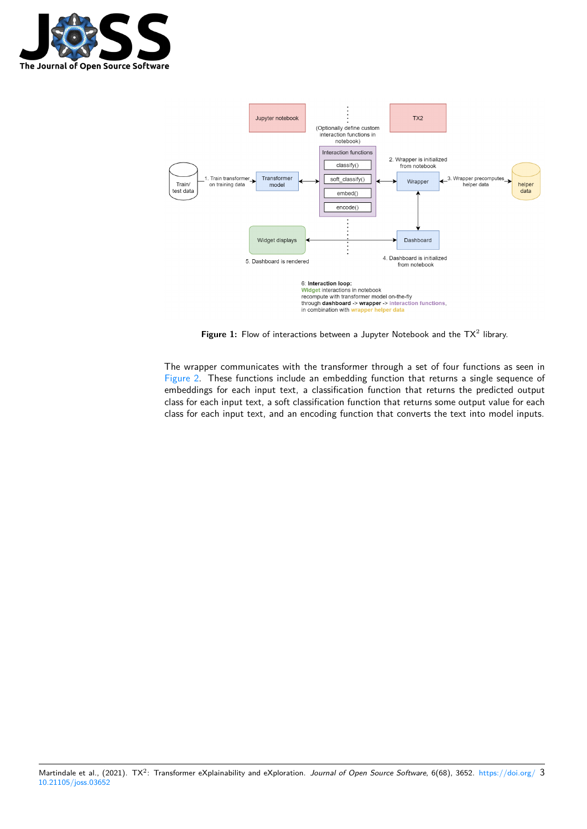



Figure 1: Flow of interactions between a Jupyter Notebook and the  $TX^2$  library.

The wrapper communicates with the transformer through a set of four functions as seen in Figure 2. These functions include an embedding function that returns a single sequence of embeddings for each input text, a classification function that returns the predicted output class for each input text, a soft classification function that returns some output value for each class for each input text, and an encoding function that converts the text into model inputs.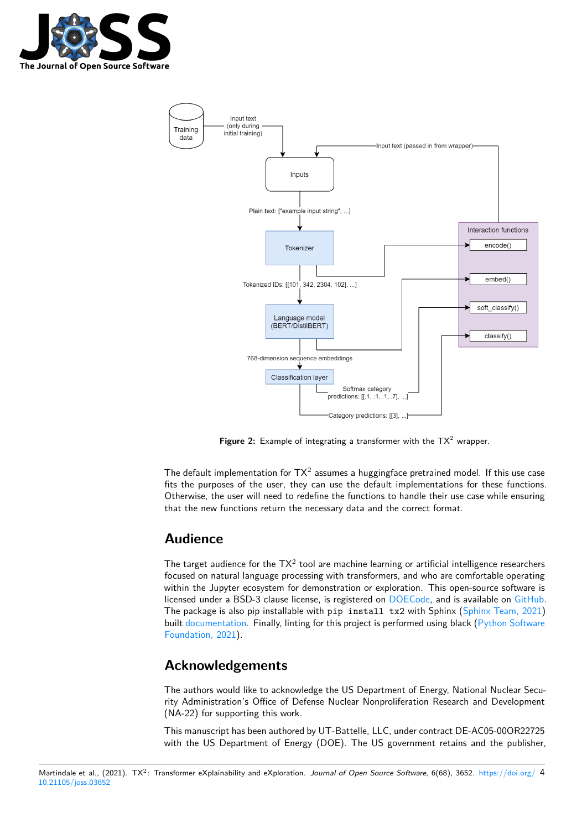



**Figure 2:** Example of integrating a transformer with the TX<sup>2</sup> wrapper.

The default implementation for  $TX^2$  assumes a huggingface pretrained model. If this use case fits the purposes of the user, they can use the default implementations for these functions. Otherwise, the user will need to redefine the functions to handle their use case while ensuring that the new functions return the necessary data and the correct format.

### **Audience**

The target audience for the  $TX^2$  tool are machine learning or artificial intelligence researchers focused on natural language processing with transformers, and who are comfortable operating within the Jupyter ecosystem for demonstration or exploration. This open-source software is licensed under a BSD-3 clause license, is registered on DOECode, and is available on GitHub. The package is also pip installable with  $pip$  install tx2 with Sphinx (Sphinx Team, 2021) built documentation. Finally, linting for this project is performed using black (Python Software Foundation, 2021).

# **Ac[knowledge](https://ornl.github.io/tx2/index.html)ments**

[The authors would](#page-4-9) like to acknowledge the US Department of Energy, National Nuclear Security Administration's Office of Defense Nuclear Nonproliferation Research and Development (NA-22) for supporting this work.

This manuscript has been authored by UT-Battelle, LLC, under contract DE-AC05-00OR22725 with the US Department of Energy (DOE). The US government retains and the publisher,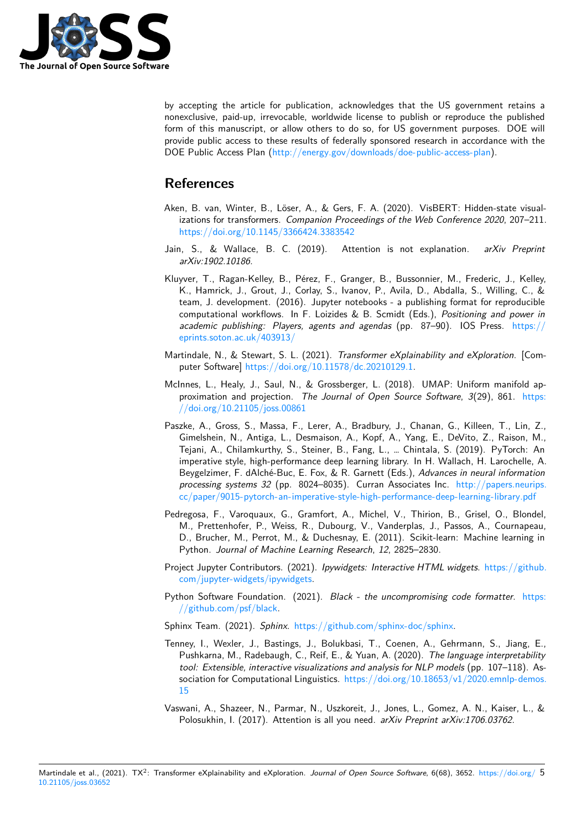

by accepting the article for publication, acknowledges that the US government retains a nonexclusive, paid-up, irrevocable, worldwide license to publish or reproduce the published form of this manuscript, or allow others to do so, for US government purposes. DOE will provide public access to these results of federally sponsored research in accordance with the DOE Public Access Plan (http://energy.gov/downloads/doe-public-access-plan).

# **References**

- Aken, B. van, Winter, B.[, Löser, A., & Gers, F. A. \(2020\). VisBERT: Hidden](http://energy.gov/downloads/doe-public-access-plan)-state visualizations for transformers. *Companion Proceedings of the Web Conference 2020*, 207–211. https://doi.org/10.1145/3366424.3383542
- <span id="page-4-5"></span>Jain, S., & Wallace, B. C. (2019). Attention is not explanation. *arXiv Preprint arXiv:1902.10186*.
- <span id="page-4-6"></span>Klu[yver, T., Ragan-Kelley, B., Pérez, F., Gran](https://doi.org/10.1145/3366424.3383542)ger, B., Bussonnier, M., Frederic, J., Kelley, K., Hamrick, J., Grout, J., Corlay, S., Ivanov, P., Avila, D., Abdalla, S., Willing, C., & team, J. development. (2016). Jupyter notebooks - a publishing format for reproducible computational workflows. In F. Loizides & B. Scmidt (Eds.), *Positioning and power in academic publishing: Players, agents and agendas* (pp. 87–90). IOS Press. https:// eprints.soton.ac.uk/403913/
- <span id="page-4-3"></span>Martindale, N., & Stewart, S. L. (2021). *Transformer eXplainability and eXploration*. [Computer Software] https://doi.org/10.11578/dc.20210129.1.
- Mc[Innes, L., Healy, J., Saul, N](https://eprints.soton.ac.uk/403913/)., & Grossberger, L. (2018). UMAP: Uniform man[ifold ap](https://eprints.soton.ac.uk/403913/)proximation and projection. *The Journal of Open Source Software*, *3*(29), 861. https: //doi.org/10.21[105/joss.00861](https://doi.org/10.11578/dc.20210129.1)
- <span id="page-4-0"></span>Paszke, A., Gross, S., Massa, F., Lerer, A., Bradbury, J., Chanan, G., Killeen, T., Lin, Z., Gimelshein, N., Antiga, L., Desmaison, A., Kopf, A., Yang, E., DeVito, Z., Raison, M., Tejani, A., Chilamkurthy, S., Steiner, B., Fang, L., … Chintala, S. (2019). PyTorc[h: An](https://doi.org/10.21105/joss.00861) [imperative style, high-performa](https://doi.org/10.21105/joss.00861)nce deep learning library. In H. Wallach, H. Larochelle, A. Beygelzimer, F. dAlché-Buc, E. Fox, & R. Garnett (Eds.), *Advances in neural information processing systems 32* (pp. 8024–8035). Curran Associates Inc. http://papers.neurips. cc/paper/9015-pytorch-an-imperative-style-high-performance-deep-learning-library.pdf
- <span id="page-4-4"></span>Pedregosa, F., Varoquaux, G., Gramfort, A., Michel, V., Thirion, B., Grisel, O., Blondel, M., Prettenhofer, P., Weiss, R., Dubourg, V., Vanderplas, J., Passos, A., Cournapeau, [D., Brucher, M., Perrot, M., & Duchesnay, E. \(2011\). Scikit-learn: Machine learning in](http://papers.neurips.cc/paper/9015-pytorch-an-imperative-style-high-performance-deep-learning-library.pdf) Python. *Journal of Machine Learning Research*, *12*, 2825–2830.
- <span id="page-4-8"></span>Project Jupyter Contributors. (2021). *Ipywidgets: Interactive HTML widgets*. https://github. com/jupyter-widgets/ipywidgets.
- Python Software Foundation. (2021). *Black the uncompromising code formatter*. https: //github.com/psf/black.
- <span id="page-4-2"></span>Sp[hinx Team. \(2021\).](https://github.com/jupyter-widgets/ipywidgets) *Sphinx*. https://github.com/sphinx-doc/sphinx.
- <span id="page-4-9"></span>Tenney, I., Wexler, J., Bastings, J., Bolukbasi, T., Coenen, A., Gehrmann, S., Jian[g, E.,](https://github.com/psf/black) [Pushkarna, M., Radebau](https://github.com/psf/black)gh, C., Reif, E., & Yuan, A. (2020). *The language interpretability tool: Extensible, interactive [visualizations and analysis for NLP mod](https://github.com/sphinx-doc/sphinx)els* (pp. 107–118). Association for Computational Linguistics. https://doi.org/10.18653/v1/2020.emnlp-demos. 15
- <span id="page-4-7"></span><span id="page-4-1"></span>Vaswani, A., Shazeer, N., Parmar, N., Uszkoreit, J., Jones, L., Gomez, A. N., Kaiser, L., & Polosukhin, I. (2017). Attention is all you need. *[arXiv Preprint arXiv:1706.03762](https://doi.org/10.18653/v1/2020.emnlp-demos.15)*.